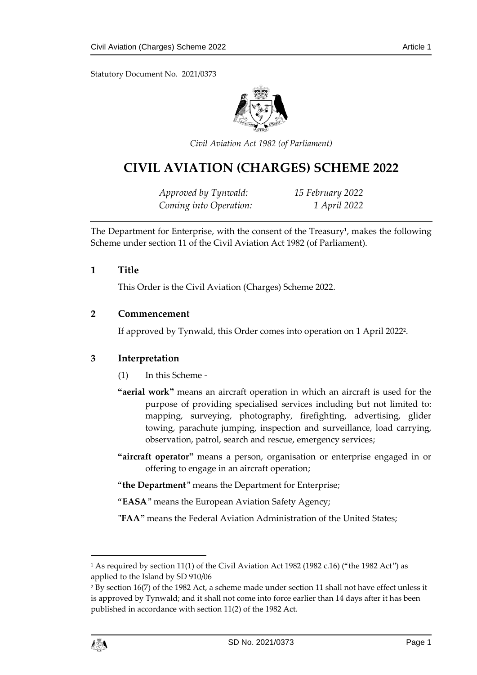Statutory Document No. 2021/0373



*Civil Aviation Act 1982 (of Parliament)*

# **CIVIL AVIATION (CHARGES) SCHEME 2022**

*Approved by Tynwald: 15 February 2022 Coming into Operation: 1 April 2022*

The Department for Enterprise, with the consent of the Treasury<sup>1</sup>, makes the following Scheme under section 11 of the Civil Aviation Act 1982 (of Parliament).

#### **1 Title**

This Order is the Civil Aviation (Charges) Scheme 2022.

#### **2 Commencement**

If approved by Tynwald, this Order comes into operation on 1 April 2022<sup>2</sup> .

### **3 Interpretation**

- (1) In this Scheme -
- **"aerial work"** means an aircraft operation in which an aircraft is used for the purpose of providing specialised services including but not limited to: mapping, surveying, photography, firefighting, advertising, glider towing, parachute jumping, inspection and surveillance, load carrying, observation, patrol, search and rescue, emergency services;
- **"aircraft operator"** means a person, organisation or enterprise engaged in or offering to engage in an aircraft operation;
- "**the Department**" means the Department for Enterprise;
- "**EASA**" means the European Aviation Safety Agency;
- **"FAA"** means the Federal Aviation Administration of the United States;

<sup>&</sup>lt;sup>2</sup> By section 16(7) of the 1982 Act, a scheme made under section 11 shall not have effect unless it is approved by Tynwald; and it shall not come into force earlier than 14 days after it has been published in accordance with section 11(2) of the 1982 Act.



1

<sup>&</sup>lt;sup>1</sup> As required by section 11(1) of the Civil Aviation Act 1982 (1982 c.16) ("the 1982 Act") as applied to the Island by SD 910/06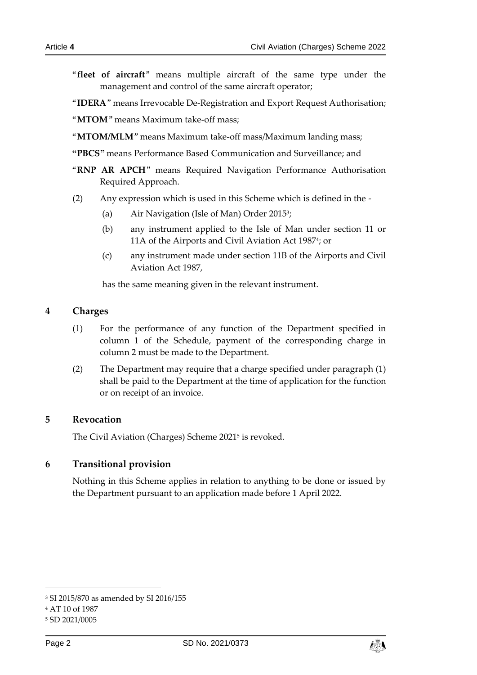"**fleet of aircraft**" means multiple aircraft of the same type under the management and control of the same aircraft operator;

"**IDERA**" means Irrevocable De-Registration and Export Request Authorisation;

"**MTOM**" means Maximum take-off mass;

- "**MTOM/MLM**" means Maximum take-off mass/Maximum landing mass;
- **"PBCS"** means Performance Based Communication and Surveillance; and
- "**RNP AR APCH**" means Required Navigation Performance Authorisation Required Approach.
- (2) Any expression which is used in this Scheme which is defined in the
	- (a) Air Navigation (Isle of Man) Order 2015<sup>3</sup>;
	- (b) any instrument applied to the Isle of Man under section 11 or 11A of the Airports and Civil Aviation Act 1987<sup>4</sup>; or
	- (c) any instrument made under section 11B of the Airports and Civil Aviation Act 1987,

has the same meaning given in the relevant instrument.

### **4 Charges**

- (1) For the performance of any function of the Department specified in column 1 of the Schedule, payment of the corresponding charge in column 2 must be made to the Department.
- (2) The Department may require that a charge specified under paragraph (1) shall be paid to the Department at the time of application for the function or on receipt of an invoice.

### **5 Revocation**

The Civil Aviation (Charges) Scheme 2021 5 is revoked.

### **6 Transitional provision**

Nothing in this Scheme applies in relation to anything to be done or issued by the Department pursuant to an application made before 1 April 2022.

-



<sup>3</sup> SI 2015/870 as amended by SI 2016/155

<sup>4</sup> AT 10 of 1987

<sup>5</sup> SD 2021/0005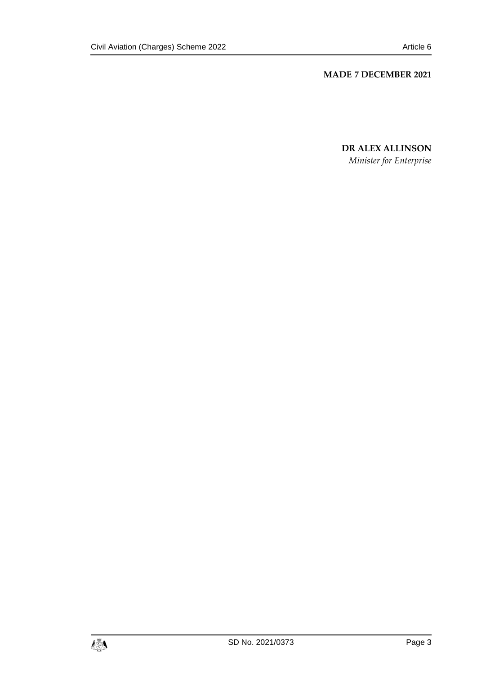#### **MADE 7 DECEMBER 2021**

**DR ALEX ALLINSON** *Minister for Enterprise*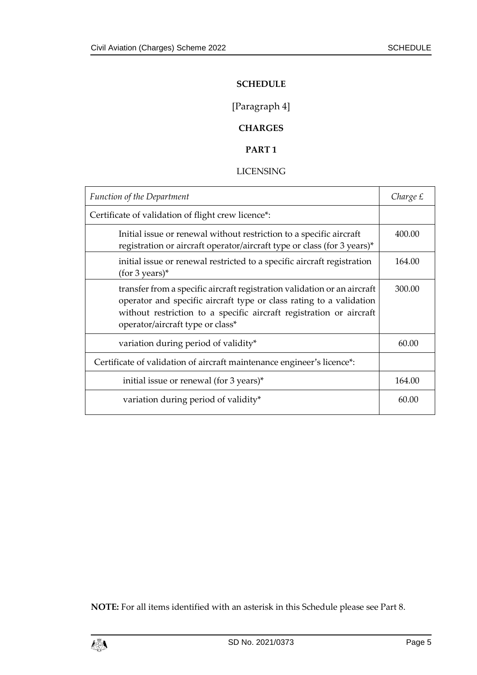#### **SCHEDULE**

[Paragraph 4]

## **CHARGES**

## **PART 1**

#### LICENSING

| <b>Function of the Department</b>                                                                                                                                                                                                                          | Charge £ |
|------------------------------------------------------------------------------------------------------------------------------------------------------------------------------------------------------------------------------------------------------------|----------|
| Certificate of validation of flight crew licence*:                                                                                                                                                                                                         |          |
| Initial issue or renewal without restriction to a specific aircraft<br>registration or aircraft operator/aircraft type or class (for 3 years)*                                                                                                             | 400.00   |
| initial issue or renewal restricted to a specific aircraft registration<br>$(for 3 years)*$                                                                                                                                                                | 164.00   |
| transfer from a specific aircraft registration validation or an aircraft<br>operator and specific aircraft type or class rating to a validation<br>without restriction to a specific aircraft registration or aircraft<br>operator/aircraft type or class* | 300.00   |
| variation during period of validity*                                                                                                                                                                                                                       | 60.00    |
| Certificate of validation of aircraft maintenance engineer's licence*:                                                                                                                                                                                     |          |
| initial issue or renewal (for 3 years)*                                                                                                                                                                                                                    | 164.00   |
| variation during period of validity*                                                                                                                                                                                                                       | 60.00    |

**NOTE:** For all items identified with an asterisk in this Schedule please see Part 8.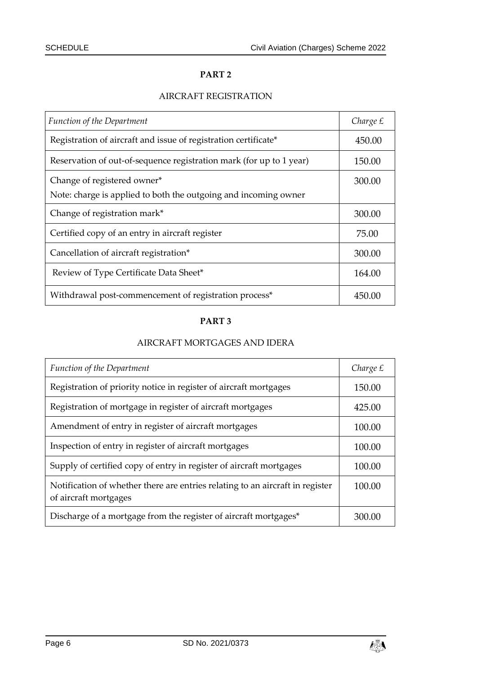## AIRCRAFT REGISTRATION

| Function of the Department                                          | Charge £ |
|---------------------------------------------------------------------|----------|
| Registration of aircraft and issue of registration certificate*     | 450.00   |
| Reservation of out-of-sequence registration mark (for up to 1 year) | 150.00   |
| Change of registered owner*                                         | 300.00   |
| Note: charge is applied to both the outgoing and incoming owner     |          |
| Change of registration mark*                                        | 300.00   |
| Certified copy of an entry in aircraft register                     | 75.00    |
| Cancellation of aircraft registration*                              | 300.00   |
| Review of Type Certificate Data Sheet*                              | 164.00   |
| Withdrawal post-commencement of registration process*               | 450.00   |

## **PART 3**

## AIRCRAFT MORTGAGES AND IDERA

| Function of the Department                                                                             | Charge £ |
|--------------------------------------------------------------------------------------------------------|----------|
| Registration of priority notice in register of aircraft mortgages                                      | 150.00   |
| Registration of mortgage in register of aircraft mortgages                                             | 425.00   |
| Amendment of entry in register of aircraft mortgages                                                   | 100.00   |
| Inspection of entry in register of aircraft mortgages                                                  | 100.00   |
| Supply of certified copy of entry in register of aircraft mortgages                                    | 100.00   |
| Notification of whether there are entries relating to an aircraft in register<br>of aircraft mortgages | 100.00   |
| Discharge of a mortgage from the register of aircraft mortgages*                                       | 300.00   |

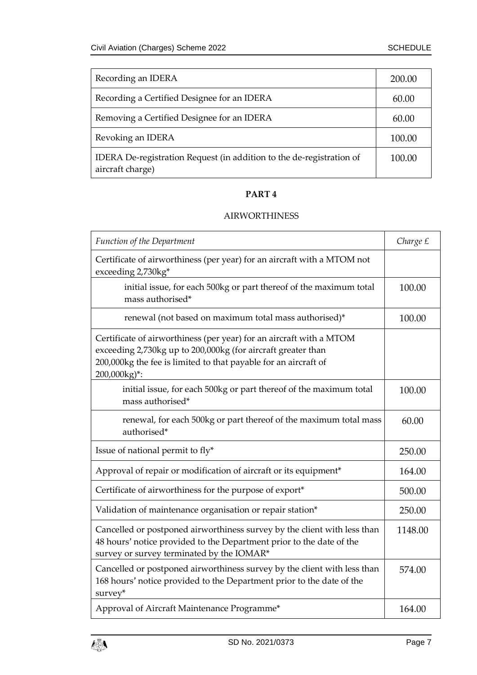| Recording an IDERA                                                                       | 200.00 |
|------------------------------------------------------------------------------------------|--------|
| Recording a Certified Designee for an IDERA                                              | 60.00  |
| Removing a Certified Designee for an IDERA                                               | 60.00  |
| Revoking an IDERA                                                                        | 100.00 |
| IDERA De-registration Request (in addition to the de-registration of<br>aircraft charge) | 100.00 |

#### AIRWORTHINESS

| <b>Function of the Department</b>                                                                                                                                                                                      | Charge £ |
|------------------------------------------------------------------------------------------------------------------------------------------------------------------------------------------------------------------------|----------|
| Certificate of airworthiness (per year) for an aircraft with a MTOM not<br>exceeding 2,730kg*                                                                                                                          |          |
| initial issue, for each 500kg or part thereof of the maximum total<br>mass authorised*                                                                                                                                 | 100.00   |
| renewal (not based on maximum total mass authorised)*                                                                                                                                                                  | 100.00   |
| Certificate of airworthiness (per year) for an aircraft with a MTOM<br>exceeding 2,730kg up to 200,000kg (for aircraft greater than<br>200,000kg the fee is limited to that payable for an aircraft of<br>200,000kg)*: |          |
| initial issue, for each 500kg or part thereof of the maximum total<br>mass authorised*                                                                                                                                 | 100.00   |
| renewal, for each 500kg or part thereof of the maximum total mass<br>authorised*                                                                                                                                       | 60.00    |
| Issue of national permit to fly*                                                                                                                                                                                       | 250.00   |
| Approval of repair or modification of aircraft or its equipment*                                                                                                                                                       | 164.00   |
| Certificate of airworthiness for the purpose of export*                                                                                                                                                                | 500.00   |
| Validation of maintenance organisation or repair station*                                                                                                                                                              | 250.00   |
| Cancelled or postponed airworthiness survey by the client with less than<br>48 hours' notice provided to the Department prior to the date of the<br>survey or survey terminated by the IOMAR*                          | 1148.00  |
| Cancelled or postponed airworthiness survey by the client with less than<br>168 hours' notice provided to the Department prior to the date of the<br>survey*                                                           | 574.00   |
| Approval of Aircraft Maintenance Programme*                                                                                                                                                                            | 164.00   |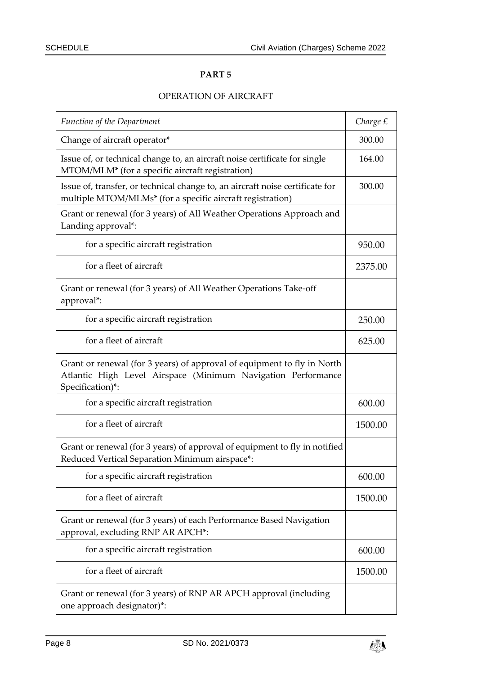## OPERATION OF AIRCRAFT

| <b>Function of the Department</b>                                                                                                                           | Charge £ |
|-------------------------------------------------------------------------------------------------------------------------------------------------------------|----------|
| Change of aircraft operator*                                                                                                                                | 300.00   |
| Issue of, or technical change to, an aircraft noise certificate for single<br>MTOM/MLM* (for a specific aircraft registration)                              | 164.00   |
| Issue of, transfer, or technical change to, an aircraft noise certificate for<br>multiple MTOM/MLMs* (for a specific aircraft registration)                 | 300.00   |
| Grant or renewal (for 3 years) of All Weather Operations Approach and<br>Landing approval*:                                                                 |          |
| for a specific aircraft registration                                                                                                                        | 950.00   |
| for a fleet of aircraft                                                                                                                                     | 2375.00  |
| Grant or renewal (for 3 years) of All Weather Operations Take-off<br>approval*:                                                                             |          |
| for a specific aircraft registration                                                                                                                        | 250.00   |
| for a fleet of aircraft                                                                                                                                     | 625.00   |
| Grant or renewal (for 3 years) of approval of equipment to fly in North<br>Atlantic High Level Airspace (Minimum Navigation Performance<br>Specification)*: |          |
| for a specific aircraft registration                                                                                                                        | 600.00   |
| for a fleet of aircraft                                                                                                                                     | 1500.00  |
| Grant or renewal (for 3 years) of approval of equipment to fly in notified<br>Reduced Vertical Separation Minimum airspace*:                                |          |
| for a specific aircraft registration                                                                                                                        | 600.00   |
| for a fleet of aircraft                                                                                                                                     | 1500.00  |
| Grant or renewal (for 3 years) of each Performance Based Navigation<br>approval, excluding RNP AR APCH*:                                                    |          |
| for a specific aircraft registration                                                                                                                        | 600.00   |
| for a fleet of aircraft                                                                                                                                     | 1500.00  |
| Grant or renewal (for 3 years) of RNP AR APCH approval (including<br>one approach designator)*:                                                             |          |

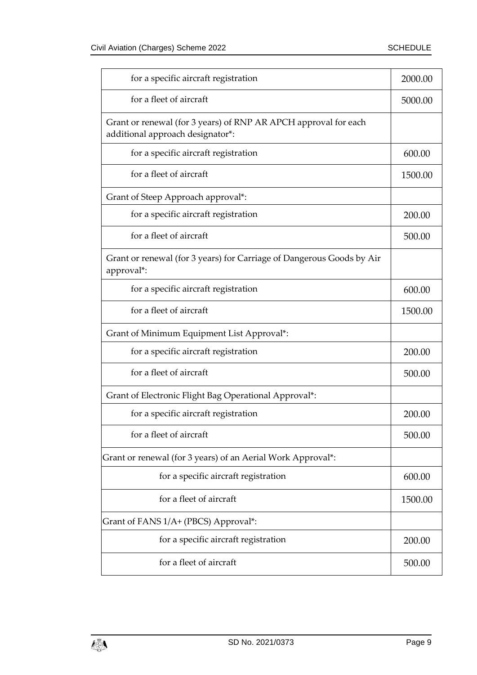| for a specific aircraft registration                                                                | 2000.00 |
|-----------------------------------------------------------------------------------------------------|---------|
| for a fleet of aircraft                                                                             | 5000.00 |
| Grant or renewal (for 3 years) of RNP AR APCH approval for each<br>additional approach designator*: |         |
| for a specific aircraft registration                                                                | 600.00  |
| for a fleet of aircraft                                                                             | 1500.00 |
| Grant of Steep Approach approval*:                                                                  |         |
| for a specific aircraft registration                                                                | 200.00  |
| for a fleet of aircraft                                                                             | 500.00  |
| Grant or renewal (for 3 years) for Carriage of Dangerous Goods by Air<br>approval*:                 |         |
| for a specific aircraft registration                                                                | 600.00  |
| for a fleet of aircraft                                                                             | 1500.00 |
| Grant of Minimum Equipment List Approval*:                                                          |         |
| for a specific aircraft registration                                                                | 200.00  |
| for a fleet of aircraft                                                                             | 500.00  |
| Grant of Electronic Flight Bag Operational Approval*:                                               |         |
| for a specific aircraft registration                                                                | 200.00  |
| for a fleet of aircraft                                                                             | 500.00  |
| Grant or renewal (for 3 years) of an Aerial Work Approval*:                                         |         |
| for a specific aircraft registration                                                                | 600.00  |
| for a fleet of aircraft                                                                             | 1500.00 |
| Grant of FANS 1/A+ (PBCS) Approval*:                                                                |         |
| for a specific aircraft registration                                                                | 200.00  |
| for a fleet of aircraft                                                                             | 500.00  |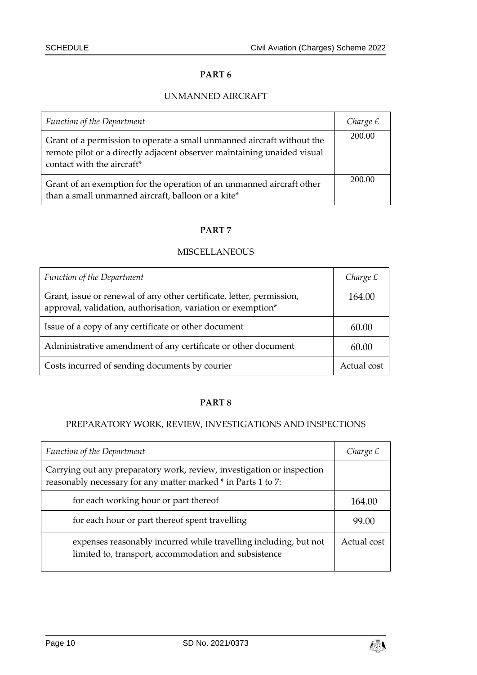## UNMANNED AIRCRAFT

| <b>Function of the Department</b>                                                                                                                                               | Charge $E$ |
|---------------------------------------------------------------------------------------------------------------------------------------------------------------------------------|------------|
| Grant of a permission to operate a small unmanned aircraft without the<br>remote pilot or a directly adjacent observer maintaining unaided visual<br>contact with the aircraft* | 200.00     |
| Grant of an exemption for the operation of an unmanned aircraft other<br>than a small unmanned aircraft, balloon or a kite*                                                     | 200.00     |

#### **PART 7**

## **MISCELLANEOUS**

| <b>Function of the Department</b>                                                                                                     | Charge £    |
|---------------------------------------------------------------------------------------------------------------------------------------|-------------|
| Grant, issue or renewal of any other certificate, letter, permission,<br>approval, validation, authorisation, variation or exemption* | 164.00      |
| Issue of a copy of any certificate or other document                                                                                  | 60.00       |
| Administrative amendment of any certificate or other document                                                                         | 60.00       |
| Costs incurred of sending documents by courier                                                                                        | Actual cost |

#### **PART 8**

### PREPARATORY WORK, REVIEW, INVESTIGATIONS AND INSPECTIONS

| Function of the Department                                                                                                              | Charge £    |
|-----------------------------------------------------------------------------------------------------------------------------------------|-------------|
| Carrying out any preparatory work, review, investigation or inspection<br>reasonably necessary for any matter marked * in Parts 1 to 7: |             |
| for each working hour or part thereof                                                                                                   | 164.00      |
| for each hour or part thereof spent travelling                                                                                          | 99.00       |
| expenses reasonably incurred while travelling including, but not<br>limited to, transport, accommodation and subsistence                | Actual cost |